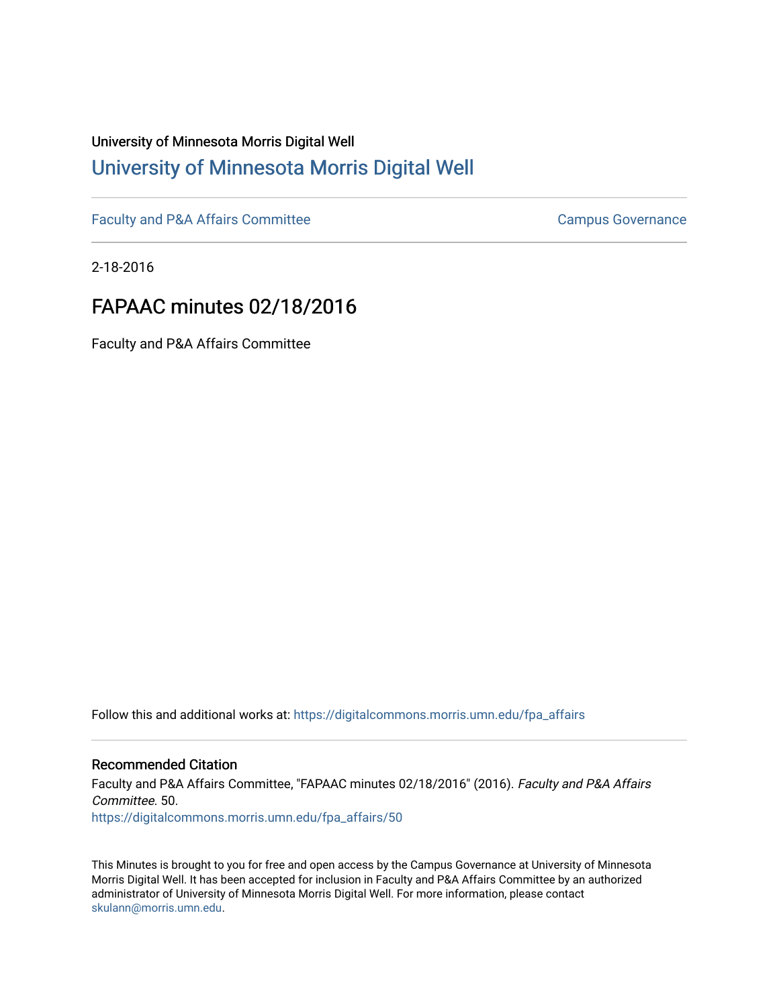# University of Minnesota Morris Digital Well [University of Minnesota Morris Digital Well](https://digitalcommons.morris.umn.edu/)

[Faculty and P&A Affairs Committee](https://digitalcommons.morris.umn.edu/fpa_affairs) [Campus Governance](https://digitalcommons.morris.umn.edu/campgov) Campus Governance

2-18-2016

## FAPAAC minutes 02/18/2016

Faculty and P&A Affairs Committee

Follow this and additional works at: [https://digitalcommons.morris.umn.edu/fpa\\_affairs](https://digitalcommons.morris.umn.edu/fpa_affairs?utm_source=digitalcommons.morris.umn.edu%2Ffpa_affairs%2F50&utm_medium=PDF&utm_campaign=PDFCoverPages)

### Recommended Citation

Faculty and P&A Affairs Committee, "FAPAAC minutes 02/18/2016" (2016). Faculty and P&A Affairs Committee. 50. [https://digitalcommons.morris.umn.edu/fpa\\_affairs/50](https://digitalcommons.morris.umn.edu/fpa_affairs/50?utm_source=digitalcommons.morris.umn.edu%2Ffpa_affairs%2F50&utm_medium=PDF&utm_campaign=PDFCoverPages) 

This Minutes is brought to you for free and open access by the Campus Governance at University of Minnesota Morris Digital Well. It has been accepted for inclusion in Faculty and P&A Affairs Committee by an authorized administrator of University of Minnesota Morris Digital Well. For more information, please contact [skulann@morris.umn.edu.](mailto:skulann@morris.umn.edu)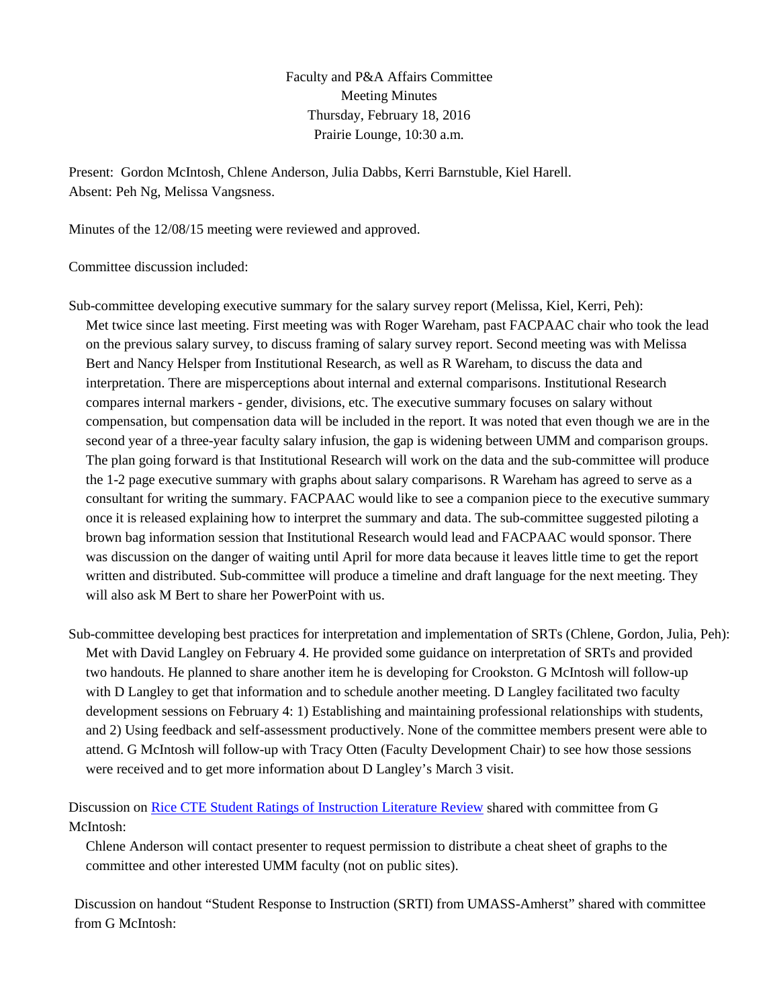Faculty and P&A Affairs Committee Meeting Minutes Thursday, February 18, 2016 Prairie Lounge, 10:30 a.m.

Present: Gordon McIntosh, Chlene Anderson, Julia Dabbs, Kerri Barnstuble, Kiel Harell. Absent: Peh Ng, Melissa Vangsness.

Minutes of the 12/08/15 meeting were reviewed and approved.

Committee discussion included:

Sub-committee developing executive summary for the salary survey report (Melissa, Kiel, Kerri, Peh): Met twice since last meeting. First meeting was with Roger Wareham, past FACPAAC chair who took the lead on the previous salary survey, to discuss framing of salary survey report. Second meeting was with Melissa Bert and Nancy Helsper from Institutional Research, as well as R Wareham, to discuss the data and interpretation. There are misperceptions about internal and external comparisons. Institutional Research compares internal markers - gender, divisions, etc. The executive summary focuses on salary without compensation, but compensation data will be included in the report. It was noted that even though we are in the second year of a three-year faculty salary infusion, the gap is widening between UMM and comparison groups. The plan going forward is that Institutional Research will work on the data and the sub-committee will produce the 1-2 page executive summary with graphs about salary comparisons. R Wareham has agreed to serve as a consultant for writing the summary. FACPAAC would like to see a companion piece to the executive summary once it is released explaining how to interpret the summary and data. The sub-committee suggested piloting a brown bag information session that Institutional Research would lead and FACPAAC would sponsor. There was discussion on the danger of waiting until April for more data because it leaves little time to get the report written and distributed. Sub-committee will produce a timeline and draft language for the next meeting. They will also ask M Bert to share her PowerPoint with us.

Sub-committee developing best practices for interpretation and implementation of SRTs (Chlene, Gordon, Julia, Peh): Met with David Langley on February 4. He provided some guidance on interpretation of SRTs and provided two handouts. He planned to share another item he is developing for Crookston. G McIntosh will follow-up with D Langley to get that information and to schedule another meeting. D Langley facilitated two faculty development sessions on February 4: 1) Establishing and maintaining professional relationships with students, and 2) Using feedback and self-assessment productively. None of the committee members present were able to attend. G McIntosh will follow-up with Tracy Otten (Faculty Development Chair) to see how those sessions were received and to get more information about D Langley's March 3 visit.

Discussion on [Rice CTE Student Ratings of Instruction Literature Review](https://www.youtube.com/watch?v=DEOruot_gcM) shared with committee from G McIntosh:

Chlene Anderson will contact presenter to request permission to distribute a cheat sheet of graphs to the committee and other interested UMM faculty (not on public sites).

Discussion on handout "Student Response to Instruction (SRTI) from UMASS-Amherst" shared with committee from G McIntosh: